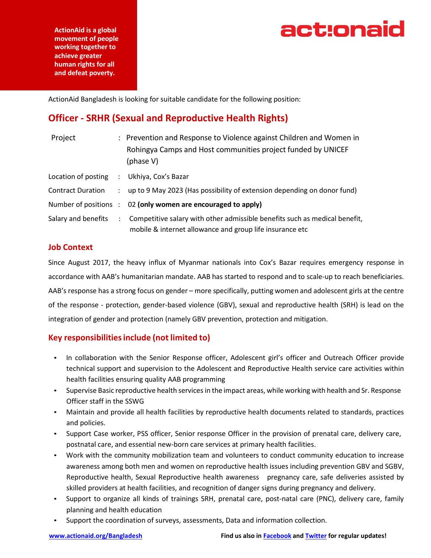

**ActionAid is a global movement of people working together to achieve greater human rights for all and defeat poverty.**

ActionAid Bangladesh is looking for suitable candidate for the following position:

## **Officer - SRHR (Sexual and Reproductive Health Rights)**

| Project                  |                   | : Prevention and Response to Violence against Children and Women in<br>Rohingya Camps and Host communities project funded by UNICEF<br>(phase V) |
|--------------------------|-------------------|--------------------------------------------------------------------------------------------------------------------------------------------------|
| Location of posting      | $\sim$ 100 $\sim$ | Ukhiya, Cox's Bazar                                                                                                                              |
| <b>Contract Duration</b> |                   | : up to 9 May 2023 (Has possibility of extension depending on donor fund)                                                                        |
|                          |                   | Number of positions : 02 (only women are encouraged to apply)                                                                                    |
| Salary and benefits      | $\mathcal{L}$     | Competitive salary with other admissible benefits such as medical benefit,<br>mobile & internet allowance and group life insurance etc           |

#### **Job Context**

Since August 2017, the heavy influx of Myanmar nationals into Cox's Bazar requires emergency response in accordance with AAB's humanitarian mandate. AAB has started to respond and to scale-up to reach beneficiaries. AAB's response has a strong focus on gender – more specifically, putting women and adolescent girls at the centre of the response - protection, gender-based violence (GBV), sexual and reproductive health (SRH) is lead on the integration of gender and protection (namely GBV prevention, protection and mitigation.

### **Key responsibilitiesinclude (not limited to)**

- In collaboration with the Senior Response officer, Adolescent girl's officer and Outreach Officer provide technical support and supervision to the Adolescent and Reproductive Health service care activities within health facilities ensuring quality AAB programming
- Supervise Basic reproductive health servicesin the impact areas, while working with health and Sr. Response Officer staff in the SSWG
- Maintain and provide all health facilities by reproductive health documents related to standards, practices and policies.
- Support Case worker, PSS officer, Senior response Officer in the provision of prenatal care, delivery care, postnatal care, and essential new-born care services at primary health facilities.
- Work with the community mobilization team and volunteers to conduct community education to increase awareness among both men and women on reproductive health issues including prevention GBV and SGBV, Reproductive health, Sexual Reproductive health awareness pregnancy care, safe deliveries assisted by skilled providers at health facilities, and recognition of danger signs during pregnancy and delivery.
- Support to organize all kinds of trainings SRH, prenatal care, post-natal care (PNC), delivery care, family planning and health education
- Support the coordination of surveys, assessments, Data and information collection.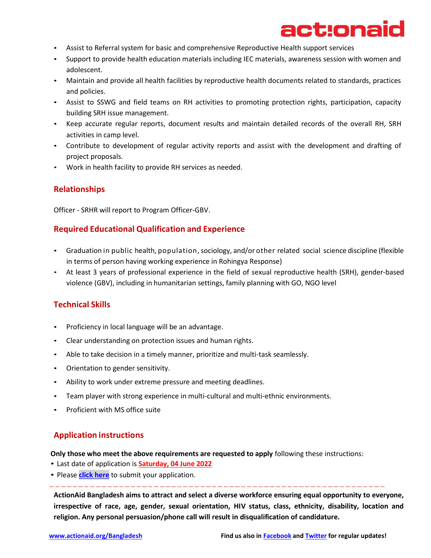# act:onaid

- Assist to Referral system for basic and comprehensive Reproductive Health support services
- Support to provide health education materials including IEC materials, awareness session with women and adolescent.
- Maintain and provide all health facilities by reproductive health documents related to standards, practices and policies.
- Assist to SSWG and field teams on RH activities to promoting protection rights, participation, capacity building SRH issue management.
- Keep accurate regular reports, document results and maintain detailed records of the overall RH, SRH activities in camp level.
- Contribute to development of regular activity reports and assist with the development and drafting of project proposals.
- Work in health facility to provide RH services as needed.

#### **Relationships**

Officer - SRHR will report to Program Officer-GBV.

#### **Required Educational Qualification and Experience**

- Graduation in public health, population, sociology, and/or other related social science discipline (flexible in terms of person having working experience in Rohingya Response)
- At least 3 years of professional experience in the field of sexual reproductive health (SRH), gender-based violence (GBV), including in humanitarian settings, family planning with GO, NGO level

### **Technical Skills**

- Proficiency in local language will be an advantage.
- Clear understanding on protection issues and human rights.
- Able to take decision in a timely manner, prioritize and multi-task seamlessly.
- Orientation to gender sensitivity.
- Ability to work under extreme pressure and meeting deadlines.
- Team player with strong experience in multi-cultural and multi-ethnic environments.
- Proficient with MS office suite

#### **Application instructions**

**Only those who meet the above requirements are requested to apply** following these instructions:

- Last date of application is **Saturday, 04 June 2022**
- Please **[click here](http://jobs.actionaidbd.org/login)** to submit your application.

**ActionAid Bangladesh aims to attract and select a diverse workforce ensuring equal opportunity to everyone, irrespective of race, age, gender, sexual orientation, HIV status, class, ethnicity, disability, location and religion. Any personal persuasion/phone call will result in disqualification of candidature.**